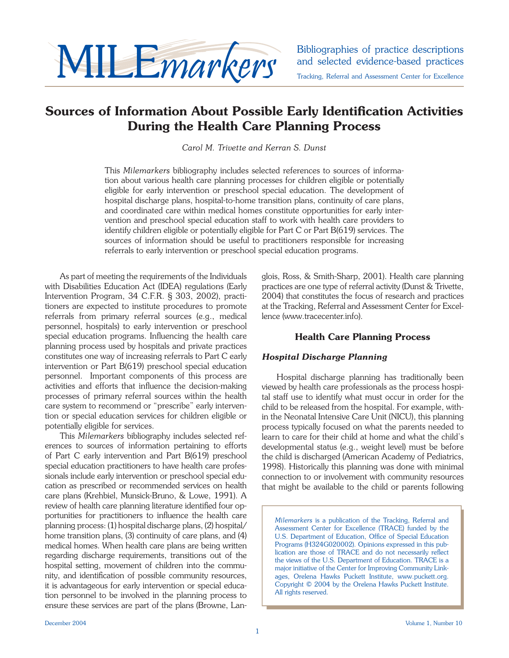

# **Sources of Information About Possible Early Identification Activities During the Health Care Planning Process**

*Carol M. Trivette and Kerran S. Dunst*

This *Milemarkers* bibliography includes selected references to sources of information about various health care planning processes for children eligible or potentially eligible for early intervention or preschool special education. The development of hospital discharge plans, hospital-to-home transition plans, continuity of care plans, and coordinated care within medical homes constitute opportunities for early intervention and preschool special education staff to work with health care providers to identify children eligible or potentially eligible for Part C or Part B(619) services. The sources of information should be useful to practitioners responsible for increasing referrals to early intervention or preschool special education programs.

 As part of meeting the requirements of the Individuals with Disabilities Education Act (IDEA) regulations (Early Intervention Program, 34 C.F.R. § 303, 2002), practitioners are expected to institute procedures to promote referrals from primary referral sources (e.g., medical personnel, hospitals) to early intervention or preschool special education programs. Influencing the health care planning process used by hospitals and private practices constitutes one way of increasing referrals to Part C early intervention or Part B(619) preschool special education personnel. Important components of this process are activities and efforts that influence the decision-making processes of primary referral sources within the health care system to recommend or "prescribe" early intervention or special education services for children eligible or potentially eligible for services.

This *Milemarkers* bibliography includes selected references to sources of information pertaining to efforts of Part C early intervention and Part B(619) preschool special education practitioners to have health care professionals include early intervention or preschool special education as prescribed or recommended services on health care plans (Krehbiel, Munsick-Bruno, & Lowe, 1991). A review of health care planning literature identified four opportunities for practitioners to influence the health care planning process: (1) hospital discharge plans, (2) hospital/ home transition plans, (3) continuity of care plans, and (4) medical homes. When health care plans are being written regarding discharge requirements, transitions out of the hospital setting, movement of children into the community, and identification of possible community resources, it is advantageous for early intervention or special education personnel to be involved in the planning process to ensure these services are part of the plans (Browne, Langlois, Ross, & Smith-Sharp, 2001). Health care planning practices are one type of referral activity (Dunst & Trivette, 2004) that constitutes the focus of research and practices at the Tracking, Referral and Assessment Center for Excellence (www.tracecenter.info).

# **Health Care Planning Process**

## *Hospital Discharge Planning*

Hospital discharge planning has traditionally been viewed by health care professionals as the process hospital staff use to identify what must occur in order for the child to be released from the hospital. For example, within the Neonatal Intensive Care Unit (NICU), this planning process typically focused on what the parents needed to learn to care for their child at home and what the child's developmental status (e.g., weight level) must be before the child is discharged (American Academy of Pediatrics, 1998). Historically this planning was done with minimal connection to or involvement with community resources that might be available to the child or parents following

*Milemarkers* is a publication of the Tracking, Referral and Assessment Center for Excellence (TRACE) funded by the U.S. Department of Education, Office of Special Education Programs (H324G020002). Opinions expressed in this publication are those of TRACE and do not necessarily reflect the views of the U.S. Department of Education. TRACE is a major initiative of the Center for Improving Community Linkages, Orelena Hawks Puckett Institute, www.puckett.org. Copyright © 2004 by the Orelena Hawks Puckett Institute. All rights reserved.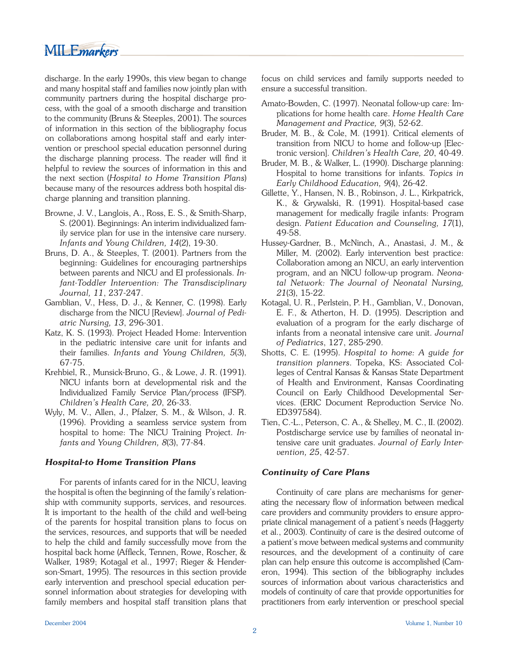discharge. In the early 1990s, this view began to change and many hospital staff and families now jointly plan with community partners during the hospital discharge process, with the goal of a smooth discharge and transition to the community (Bruns & Steeples, 2001). The sources of information in this section of the bibliography focus on collaborations among hospital staff and early intervention or preschool special education personnel during the discharge planning process. The reader will find it helpful to review the sources of information in this and the next section (*Hospital to Home Transition Plans*) because many of the resources address both hospital discharge planning and transition planning.

- Browne, J. V., Langlois, A., Ross, E. S., & Smith-Sharp, S. (2001). Beginnings: An interim individualized family service plan for use in the intensive care nursery. *Infants and Young Children, 14*(2), 19-30.
- Bruns, D. A., & Steeples, T. (2001). Partners from the beginning: Guidelines for encouraging partnerships between parents and NICU and EI professionals. *Infant-Toddler Intervention: The Transdisciplinary Journal, 11*, 237-247.
- Gamblian, V., Hess, D. J., & Kenner, C. (1998). Early discharge from the NICU [Review]. *Journal of Pediatric Nursing, 13*, 296-301.
- Katz, K. S. (1993). Project Headed Home: Intervention in the pediatric intensive care unit for infants and their families. *Infants and Young Children, 5*(3), 67-75.
- Krehbiel, R., Munsick-Bruno, G., & Lowe, J. R. (1991). NICU infants born at developmental risk and the Individualized Family Service Plan/process (IFSP). *Children's Health Care, 20*, 26-33.
- Wyly, M. V., Allen, J., Pfalzer, S. M., & Wilson, J. R. (1996). Providing a seamless service system from hospital to home: The NICU Training Project. *Infants and Young Children, 8*(3), 77-84.

## *Hospital-to Home Transition Plans*

 For parents of infants cared for in the NICU, leaving the hospital is often the beginning of the family's relationship with community supports, services, and resources. It is important to the health of the child and well-being of the parents for hospital transition plans to focus on the services, resources, and supports that will be needed to help the child and family successfully move from the hospital back home (Affleck, Tennen, Rowe, Roscher, & Walker, 1989; Kotagal et al., 1997; Rieger & Henderson-Smart, 1995). The resources in this section provide early intervention and preschool special education personnel information about strategies for developing with family members and hospital staff transition plans that focus on child services and family supports needed to ensure a successful transition.

- Amato-Bowden, C. (1997). Neonatal follow-up care: Implications for home health care. *Home Health Care Management and Practice, 9*(3), 52-62.
- Bruder, M. B., & Cole, M. (1991). Critical elements of transition from NICU to home and follow-up [Electronic version]. *Children's Health Care, 20*, 40-49.
- Bruder, M. B., & Walker, L. (1990). Discharge planning: Hospital to home transitions for infants. *Topics in Early Childhood Education, 9*(4), 26-42.
- Gillette, Y., Hansen, N. B., Robinson, J. L., Kirkpatrick, K., & Grywalski, R. (1991). Hospital-based case management for medically fragile infants: Program design. *Patient Education and Counseling, 17*(1), 49-58.
- Hussey-Gardner, B., McNinch, A., Anastasi, J. M., & Miller, M. (2002). Early intervention best practice: Collaboration among an NICU, an early intervention program, and an NICU follow-up program. *Neonatal Network: The Journal of Neonatal Nursing, 21*(3), 15-22.
- Kotagal, U. R., Perlstein, P. H., Gamblian, V., Donovan, E. F., & Atherton, H. D. (1995). Description and evaluation of a program for the early discharge of infants from a neonatal intensive care unit. *Journal of Pediatrics*, 127, 285-290.
- Shotts, C. E. (1995). *Hospital to home: A guide for transition planners*. Topeka, KS: Associated Colleges of Central Kansas & Kansas State Department of Health and Environment, Kansas Coordinating Council on Early Childhood Developmental Services. (ERIC Document Reproduction Service No. ED397584).
- Tien, C.-L., Peterson, C. A., & Shelley, M. C., II. (2002). Postdischarge service use by families of neonatal intensive care unit graduates. *Journal of Early Intervention, 25*, 42-57.

# *Continuity of Care Plans*

Continuity of care plans are mechanisms for generating the necessary flow of information between medical care providers and community providers to ensure appropriate clinical management of a patient's needs (Haggerty et al., 2003). Continuity of care is the desired outcome of a patient's move between medical systems and community resources, and the development of a continuity of care plan can help ensure this outcome is accomplished (Cameron, 1994). This section of the bibliography includes sources of information about various characteristics and models of continuity of care that provide opportunities for practitioners from early intervention or preschool special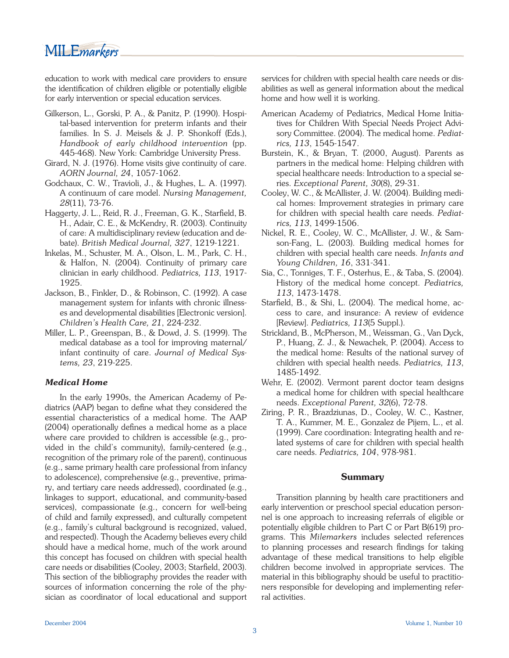education to work with medical care providers to ensure the identification of children eligible or potentially eligible for early intervention or special education services.

- Gilkerson, L., Gorski, P. A., & Panitz, P. (1990). Hospital-based intervention for preterm infants and their families. In S. J. Meisels & J. P. Shonkoff (Eds.), *Handbook of early childhood intervention* (pp. 445-468). New York: Cambridge University Press.
- Girard, N. J. (1976). Home visits give continuity of care. *AORN Journal, 24*, 1057-1062.
- Godchaux, C. W., Travioli, J., & Hughes, L. A. (1997). A continuum of care model. *Nursing Management, 28*(11), 73-76.
- Haggerty, J. L., Reid, R. J., Freeman, G. K., Starfield, B. H., Adair, C. E., & McKendry, R. (2003). Continuity of care: A multidisciplinary review (education and debate). *British Medical Journal, 327*, 1219-1221.
- Inkelas, M., Schuster, M. A., Olson, L. M., Park, C. H., & Halfon, N. (2004). Continuity of primary care clinician in early childhood. *Pediatrics, 113*, 1917- 1925.
- Jackson, B., Finkler, D., & Robinson, C. (1992). A case management system for infants with chronic illnesses and developmental disabilities [Electronic version]. *Children's Health Care, 21*, 224-232.
- Miller, L. P., Greenspan, B., & Dowd, J. S. (1999). The medical database as a tool for improving maternal/ infant continuity of care. *Journal of Medical Systems, 23*, 219-225.

## *Medical Home*

In the early 1990s, the American Academy of Pediatrics (AAP) began to define what they considered the essential characteristics of a medical home. The AAP (2004) operationally defines a medical home as a place where care provided to children is accessible (e.g., provided in the child's community), family-centered (e.g., recognition of the primary role of the parent), continuous (e.g., same primary health care professional from infancy to adolescence), comprehensive (e.g., preventive, primary, and tertiary care needs addressed), coordinated (e.g., linkages to support, educational, and community-based services), compassionate (e.g., concern for well-being of child and family expressed), and culturally competent (e.g., family's cultural background is recognized, valued, and respected). Though the Academy believes every child should have a medical home, much of the work around this concept has focused on children with special health care needs or disabilities (Cooley, 2003; Starfield, 2003). This section of the bibliography provides the reader with sources of information concerning the role of the physician as coordinator of local educational and support services for children with special health care needs or disabilities as well as general information about the medical home and how well it is working.

- American Academy of Pediatrics, Medical Home Initiatives for Children With Special Needs Project Advisory Committee. (2004). The medical home. *Pediatrics, 113*, 1545-1547.
- Burstein, K., & Bryan, T. (2000, August). Parents as partners in the medical home: Helping children with special healthcare needs: Introduction to a special series. *Exceptional Parent, 30*(8), 29-31.
- Cooley, W. C., & McAllister, J. W. (2004). Building medical homes: Improvement strategies in primary care for children with special health care needs. *Pediatrics, 113*, 1499-1506.
- Nickel, R. E., Cooley, W. C., McAllister, J. W., & Samson-Fang, L. (2003). Building medical homes for children with special health care needs. *Infants and Young Children, 16*, 331-341.
- Sia, C., Tonniges, T. F., Osterhus, E., & Taba, S. (2004). History of the medical home concept. *Pediatrics, 113*, 1473-1478.
- Starfield, B., & Shi, L. (2004). The medical home, access to care, and insurance: A review of evidence [Review]. *Pediatrics, 113*(5 Suppl.).
- Strickland, B., McPherson, M., Weissman, G., Van Dyck, P., Huang, Z. J., & Newachek, P. (2004). Access to the medical home: Results of the national survey of children with special health needs. *Pediatrics, 113*, 1485-1492.
- Wehr, E. (2002). Vermont parent doctor team designs a medical home for children with special healthcare needs. *Exceptional Parent, 32*(6), 72-78.
- Ziring, P. R., Brazdziunas, D., Cooley, W. C., Kastner, T. A., Kummer, M. E., Gonzalez de Pijem, L., et al. (1999). Care coordination: Integrating health and related systems of care for children with special health care needs. *Pediatrics, 104*, 978-981.

## **Summary**

Transition planning by health care practitioners and early intervention or preschool special education personnel is one approach to increasing referrals of eligible or potentially eligible children to Part C or Part B(619) programs. This *Milemarkers* includes selected references to planning processes and research findings for taking advantage of these medical transitions to help eligible children become involved in appropriate services. The material in this bibliography should be useful to practitioners responsible for developing and implementing referral activities.